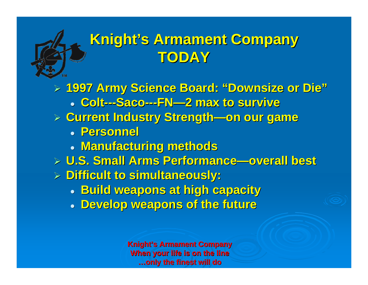#### **Knight's Armament Company Knight's Armament Company TODAY**

¾ **1997 Army Science Board: "Downsize or Die" 1997 Army Science Board: "Downsize or Die"** z **Colt---Saco---FN—2 max to survive 2 max to survive** ¾ **Current Industry Strength Current Industry Strength—on our game on our game** z **Personnel Personnel** z **Manufacturing methods Manufacturing methods** ¾ **U.S. Small Arms Performance U.S. Small Arms Performance—overall best overall best** ¾ **Difficult to simultaneously: Difficult to simultaneously:** z **Build weapons at high capacity Build weapons at high capacity** z **Develop weapons of the future Develop weapons of the future**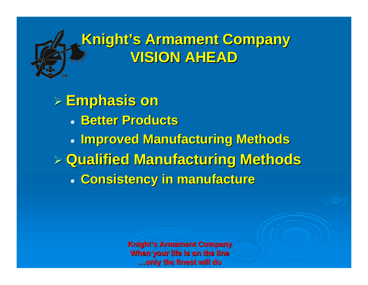### **Knight's Armament Company Knight's Armament Company VISION AHEAD VISION AHEAD**

¾ **Emphasis on Emphasis on a Better Products** z **Improved Manufacturing Methods Improved Manufacturing Methods** ¾ **Qualified Manufacturing Methods Qualified Manufacturing Methods** z **Consistency in manufacture Consistency in manufacture**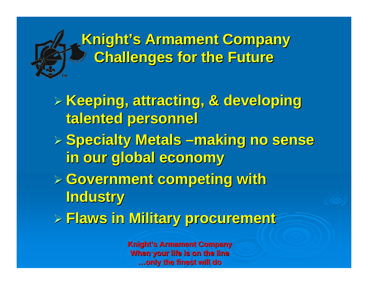#### **Knight's Armament Company Knight's Armament Company Challenges for the Future**

- ¾ **Keeping, attracting, & developing Keeping, attracting, & developing talented personnel talented personnel**
- ¾ **Specialty Metals Specialty Metals –making no sense making no sense in our global economy in our global economy**
- ¾ **Government competing with Government competing with Industry Industry**
- ¾ **Flaws in Military procurement Flaws in Military procurement**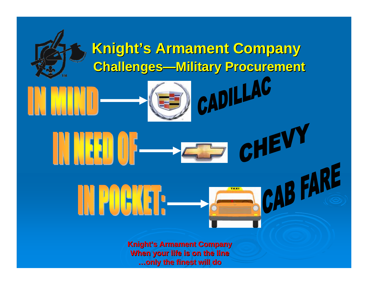

# **Knight's Armament Company Knight's Armament Company Challenges—Military Procurement**

CHE

TAXI

AB FA